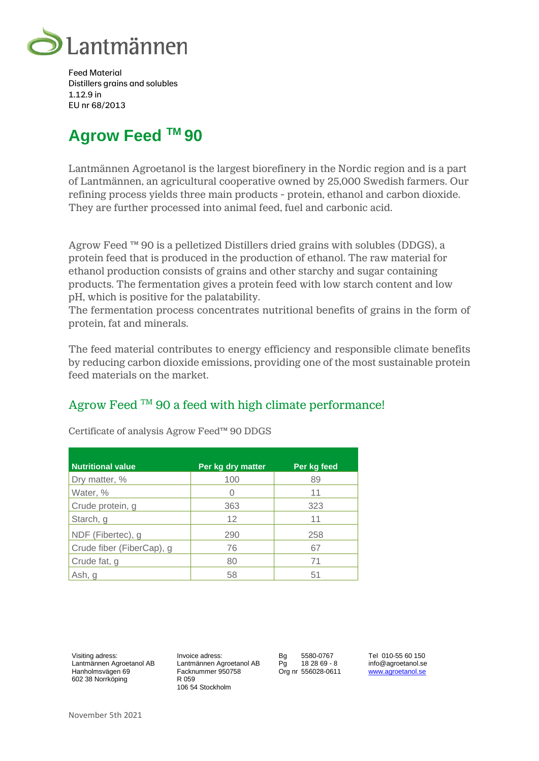

Feed Material Distillers grains and solubles 1.12.9 in EU nr 68/2013

# **Agrow Feed TM 90**

Lantmännen Agroetanol is the largest biorefinery in the Nordic region and is a part of Lantmännen, an agricultural cooperative owned by 25,000 Swedish farmers. Our refining process yields three main products - protein, ethanol and carbon dioxide. They are further processed into animal feed, fuel and carbonic acid.

Agrow Feed ™ 90 is a pelletized Distillers dried grains with solubles (DDGS), a protein feed that is produced in the production of ethanol. The raw material for ethanol production consists of grains and other starchy and sugar containing products. The fermentation gives a protein feed with low starch content and low pH, which is positive for the palatability.

The fermentation process concentrates nutritional benefits of grains in the form of protein, fat and minerals.

The feed material contributes to energy efficiency and responsible climate benefits by reducing carbon dioxide emissions, providing one of the most sustainable protein feed materials on the market.

# Agrow Feed  $TM$  90 a feed with high climate performance!

| <b>Nutritional value</b>  | Per kg dry matter | Per kg feed |
|---------------------------|-------------------|-------------|
| Dry matter, %             | 100               | 89          |
| Water, %                  | 0                 | 11          |
| Crude protein, g          | 363               | 323         |
| Starch, g                 | 12                | 11          |
| NDF (Fibertec), g         | 290               | 258         |
| Crude fiber (FiberCap), g | 76                | 67          |
| Crude fat, g              | 80                | 71          |
| Ash, g                    | 58                | 51          |

Certificate of analysis Agrow Feed™ 90 DDGS

Visiting adress: Lantmännen Agroetanol AB Hanholmsvägen 69 602 38 Norrköping

Invoice adress: Lantmännen Agroetanol AB Facknummer 950758 R 059 106 54 Stockholm

Bg 5580-0767 Pg 18 28 69 - 8 Org nr 556028-0611 Tel 010-55 60 150 info@agroetanol.se www.agroetanol.se